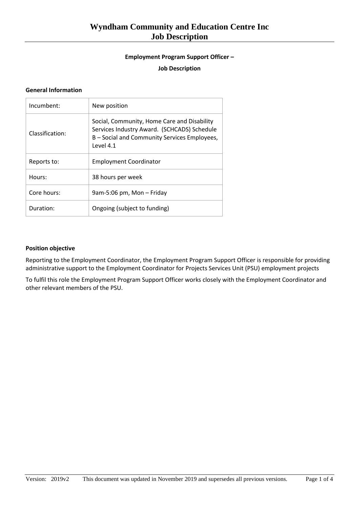# **Wyndham Community and Education Centre Inc Job Description**

## **Employment Program Support Officer –**

#### **Job Description**

#### **General Information**

| Incumbent:      | New position                                                                                                                                            |
|-----------------|---------------------------------------------------------------------------------------------------------------------------------------------------------|
| Classification: | Social, Community, Home Care and Disability<br>Services Industry Award. (SCHCADS) Schedule<br>B - Social and Community Services Employees,<br>Level 4.1 |
| Reports to:     | <b>Employment Coordinator</b>                                                                                                                           |
| Hours:          | 38 hours per week                                                                                                                                       |
| Core hours:     | 9am-5:06 pm, Mon - Friday                                                                                                                               |
| Duration:       | Ongoing (subject to funding)                                                                                                                            |

## **Position objective**

Reporting to the Employment Coordinator, the Employment Program Support Officer is responsible for providing administrative support to the Employment Coordinator for Projects Services Unit (PSU) employment projects

To fulfil this role the Employment Program Support Officer works closely with the Employment Coordinator and other relevant members of the PSU.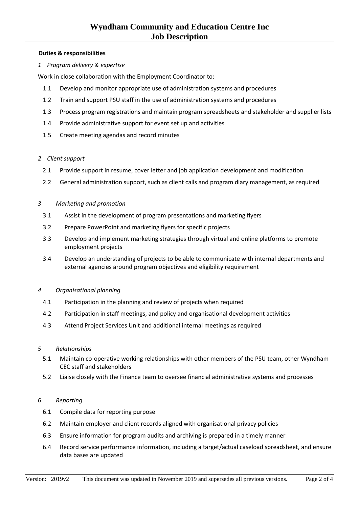## **Duties & responsibilities**

*1 Program delivery & expertise*

Work in close collaboration with the Employment Coordinator to:

- 1.1 Develop and monitor appropriate use of administration systems and procedures
- 1.2 Train and support PSU staff in the use of administration systems and procedures
- 1.3 Process program registrations and maintain program spreadsheets and stakeholder and supplier lists
- 1.4 Provide administrative support for event set up and activities
- 1.5 Create meeting agendas and record minutes

#### *2 Client support*

- 2.1 Provide support in resume, cover letter and job application development and modification
- 2.2 General administration support, such as client calls and program diary management, as required

#### *3 Marketing and promotion*

- 3.1 Assist in the development of program presentations and marketing flyers
- 3.2 Prepare PowerPoint and marketing flyers for specific projects
- 3.3 Develop and implement marketing strategies through virtual and online platforms to promote employment projects
- 3.4 Develop an understanding of projects to be able to communicate with internal departments and external agencies around program objectives and eligibility requirement

#### *4 Organisational planning*

- 4.1 Participation in the planning and review of projects when required
- 4.2 Participation in staff meetings, and policy and organisational development activities
- 4.3 Attend Project Services Unit and additional internal meetings as required

#### *5 Relationships*

- 5.1 Maintain co-operative working relationships with other members of the PSU team, other Wyndham CEC staff and stakeholders
- 5.2 Liaise closely with the Finance team to oversee financial administrative systems and processes

#### *6 Reporting*

- 6.1 Compile data for reporting purpose
- 6.2 Maintain employer and client records aligned with organisational privacy policies
- 6.3 Ensure information for program audits and archiving is prepared in a timely manner
- 6.4 Record service performance information, including a target/actual caseload spreadsheet, and ensure data bases are updated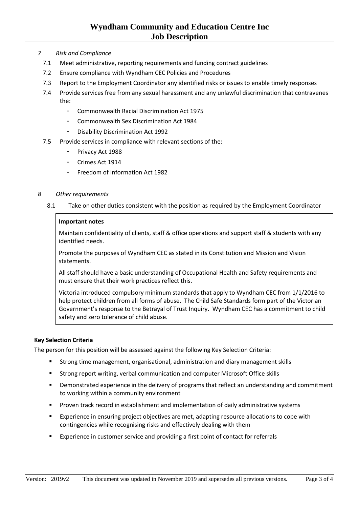## **Wyndham Community and Education Centre Inc Job Description**

- *7 Risk and Compliance* 
	- 7.1 Meet administrative, reporting requirements and funding contract guidelines
	- 7.2 Ensure compliance with Wyndham CEC Policies and Procedures
	- 7.3 Report to the Employment Coordinator any identified risks or issues to enable timely responses
	- 7.4 Provide services free from any sexual harassment and any unlawful discrimination that contravenes the:
		- Commonwealth Racial Discrimination Act 1975
		- Commonwealth Sex Discrimination Act 1984
		- Disability Discrimination Act 1992
	- 7.5 Provide services in compliance with relevant sections of the:
		- Privacy Act 1988
		- Crimes Act 1914
		- Freedom of Information Act 1982

#### *8 Other requirements*

8.1 Take on other duties consistent with the position as required by the Employment Coordinator

#### **Important notes**

Maintain confidentiality of clients, staff & office operations and support staff & students with any identified needs.

Promote the purposes of Wyndham CEC as stated in its Constitution and Mission and Vision statements.

All staff should have a basic understanding of Occupational Health and Safety requirements and must ensure that their work practices reflect this.

Victoria introduced compulsory minimum standards that apply to Wyndham CEC from 1/1/2016 to help protect children from all forms of abuse. The Child Safe Standards form part of the Victorian Government's response to the Betrayal of Trust Inquiry. Wyndham CEC has a commitment to child safety and zero tolerance of child abuse.

#### **Key Selection Criteria**

The person for this position will be assessed against the following Key Selection Criteria:

- Strong time management, organisational, administration and diary management skills
- Strong report writing, verbal communication and computer Microsoft Office skills
- **•** Demonstrated experience in the delivery of programs that reflect an understanding and commitment to working within a community environment
- Proven track record in establishment and implementation of daily administrative systems
- Experience in ensuring project objectives are met, adapting resource allocations to cope with contingencies while recognising risks and effectively dealing with them
- Experience in customer service and providing a first point of contact for referrals